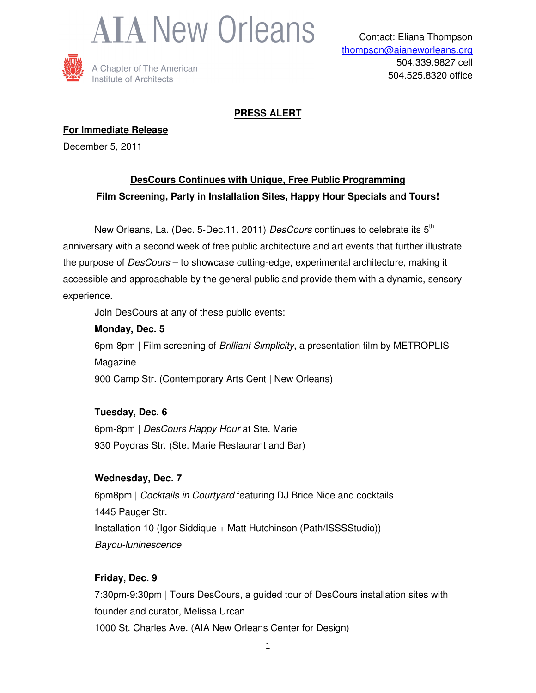



### **PRESS ALERT**

**For Immediate Release**

December 5, 2011

## **DesCours Continues with Unique, Free Public Programming Film Screening, Party in Installation Sites, Happy Hour Specials and Tours!**

New Orleans, La. (Dec. 5-Dec.11, 2011) DesCours continues to celebrate its 5<sup>th</sup> anniversary with a second week of free public architecture and art events that further illustrate the purpose of *DesCours* – to showcase cutting-edge, experimental architecture, making it accessible and approachable by the general public and provide them with a dynamic, sensory experience.

Join DesCours at any of these public events:

# **Monday, Dec. 5** 6pm-8pm | Film screening of Brilliant Simplicity, a presentation film by METROPLIS Magazine 900 Camp Str. (Contemporary Arts Cent | New Orleans)

**Tuesday, Dec. 6**

6pm-8pm | DesCours Happy Hour at Ste. Marie 930 Poydras Str. (Ste. Marie Restaurant and Bar)

### **Wednesday, Dec. 7**

6pm8pm | Cocktails in Courtyard featuring DJ Brice Nice and cocktails 1445 Pauger Str. Installation 10 (Igor Siddique + Matt Hutchinson (Path/ISSSStudio)) Bayou-luninescence

### **Friday, Dec. 9**

7:30pm-9:30pm | Tours DesCours, a guided tour of DesCours installation sites with founder and curator, Melissa Urcan 1000 St. Charles Ave. (AIA New Orleans Center for Design)